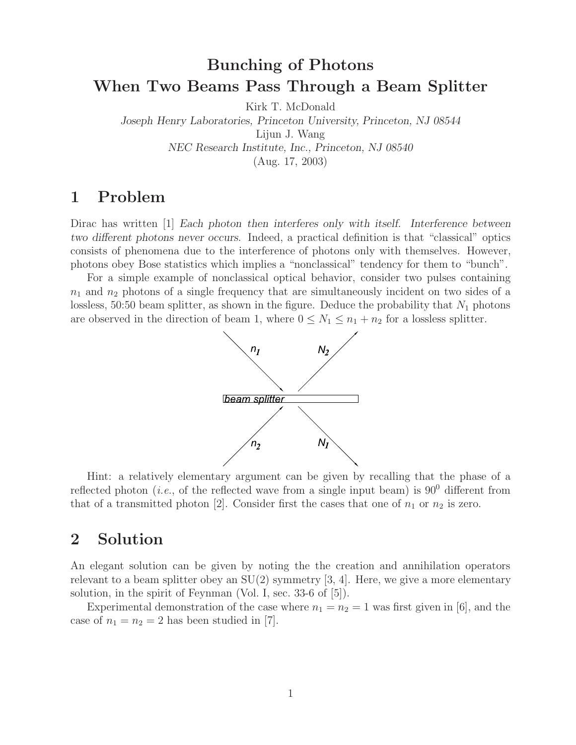# **Bunching of Photons When Two Beams Pass Through a Beam Splitter**

Kirk T. McDonald

*Joseph Henry Laboratories, Princeton University, Princeton, NJ 08544* Lijun J. Wang

*NEC Research Institute, Inc., Princeton, NJ 08540*

(Aug. 17, 2003)

## **1 Problem**

Dirac has written [1] *Each photon then interferes only with itself. Interference between two different photons never occurs*. Indeed, a practical definition is that "classical" optics consists of phenomena due to the interference of photons only with themselves. However, photons obey Bose statistics which implies a "nonclassical" tendency for them to "bunch".

For a simple example of nonclassical optical behavior, consider two pulses containing  $n_1$  and  $n_2$  photons of a single frequency that are simultaneously incident on two sides of a lossless, 50:50 beam splitter, as shown in the figure. Deduce the probability that  $N_1$  photons are observed in the direction of beam 1, where  $0 \leq N_1 \leq n_1 + n_2$  for a lossless splitter.



Hint: a relatively elementary argument can be given by recalling that the phase of a reflected photon (*i.e.*, of the reflected wave from a single input beam) is  $90^0$  different from that of a transmitted photon [2]. Consider first the cases that one of  $n_1$  or  $n_2$  is zero.

## **2 Solution**

An elegant solution can be given by noting the the creation and annihilation operators relevant to a beam splitter obey an  $SU(2)$  symmetry [3, 4]. Here, we give a more elementary solution, in the spirit of Feynman (Vol. I, sec. 33-6 of [5]).

Experimental demonstration of the case where  $n_1 = n_2 = 1$  was first given in [6], and the case of  $n_1 = n_2 = 2$  has been studied in [7].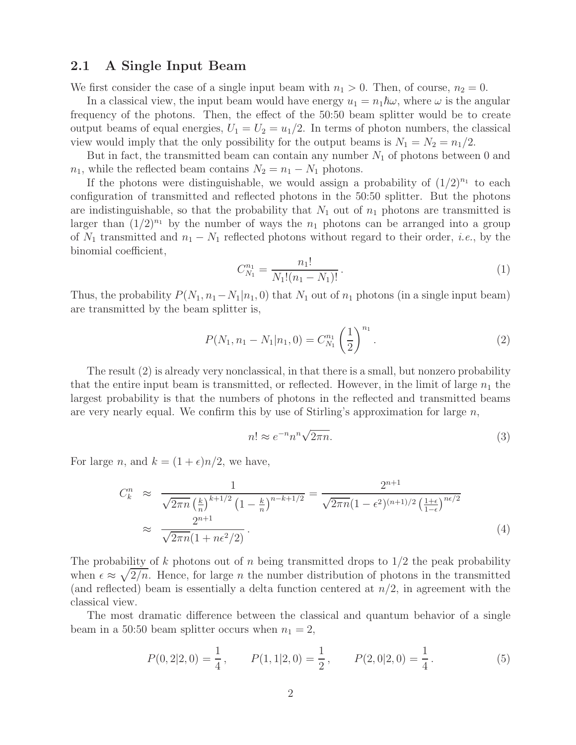### **2.1 A Single Input Beam**

We first consider the case of a single input beam with  $n_1 > 0$ . Then, of course,  $n_2 = 0$ .

In a classical view, the input beam would have energy  $u_1 = n_1 \hbar \omega$ , where  $\omega$  is the angular frequency of the photons. Then, the effect of the 50:50 beam splitter would be to create output beams of equal energies,  $U_1 = U_2 = u_1/2$ . In terms of photon numbers, the classical view would imply that the only possibility for the output beams is  $N_1 = N_2 = n_1/2$ .

But in fact, the transmitted beam can contain any number  $N_1$  of photons between 0 and  $n_1$ , while the reflected beam contains  $N_2 = n_1 - N_1$  photons.

If the photons were distinguishable, we would assign a probability of  $(1/2)^{n_1}$  to each configuration of transmitted and reflected photons in the 50:50 splitter. But the photons are indistinguishable, so that the probability that  $N_1$  out of  $n_1$  photons are transmitted is larger than  $(1/2)^{n_1}$  by the number of ways the  $n_1$  photons can be arranged into a group of  $N_1$  transmitted and  $n_1 - N_1$  reflected photons without regard to their order, *i.e.*, by the binomial coefficient,

$$
C_{N_1}^{n_1} = \frac{n_1!}{N_1!(n_1 - N_1)!}.
$$
\n(1)

Thus, the probability  $P(N_1, n_1-N_1|n_1, 0)$  that  $N_1$  out of  $n_1$  photons (in a single input beam) are transmitted by the beam splitter is,

$$
P(N_1, n_1 - N_1 | n_1, 0) = C_{N_1}^{n_1} \left(\frac{1}{2}\right)^{n_1}.
$$
 (2)

The result (2) is already very nonclassical, in that there is a small, but nonzero probability that the entire input beam is transmitted, or reflected. However, in the limit of large  $n_1$  the largest probability is that the numbers of photons in the reflected and transmitted beams are very nearly equal. We confirm this by use of Stirling's approximation for large  $n$ ,

$$
n! \approx e^{-n} n^n \sqrt{2\pi n}.
$$
\n(3)

For large n, and  $k = (1 + \epsilon)n/2$ , we have,

$$
C_k^n \approx \frac{1}{\sqrt{2\pi n} \left(\frac{k}{n}\right)^{k+1/2} \left(1 - \frac{k}{n}\right)^{n-k+1/2}} = \frac{2^{n+1}}{\sqrt{2\pi n} (1 - \epsilon^2)^{(n+1)/2} \left(\frac{1+\epsilon}{1-\epsilon}\right)^{n\epsilon/2}} \approx \frac{2^{n+1}}{\sqrt{2\pi n} (1 + n\epsilon^2/2)}.
$$
\n(4)

The probability of k photons out of n being transmitted drops to  $1/2$  the peak probability when  $\epsilon \approx \sqrt{2/n}$ . Hence, for large *n* the number distribution of photons in the transmitted (and reflected) beam is essentially a delta function centered at  $n/2$ , in agreement with the classical view.

The most dramatic difference between the classical and quantum behavior of a single beam in a 50:50 beam splitter occurs when  $n_1 = 2$ ,

$$
P(0,2|2,0) = \frac{1}{4}, \qquad P(1,1|2,0) = \frac{1}{2}, \qquad P(2,0|2,0) = \frac{1}{4}.
$$
 (5)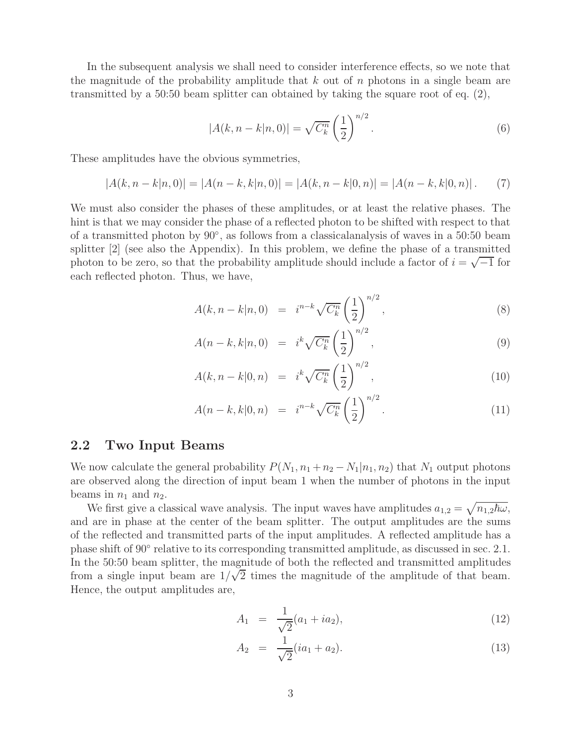In the subsequent analysis we shall need to consider interference effects, so we note that the magnitude of the probability amplitude that  $k$  out of  $n$  photons in a single beam are transmitted by a 50:50 beam splitter can obtained by taking the square root of eq. (2),

$$
|A(k, n - k|n, 0)| = \sqrt{C_k^n} \left(\frac{1}{2}\right)^{n/2}.
$$
 (6)

These amplitudes have the obvious symmetries,

$$
|A(k, n-k|n, 0)| = |A(n-k, k|n, 0)| = |A(k, n-k|0, n)| = |A(n-k, k|0, n)|.
$$
 (7)

We must also consider the phases of these amplitudes, or at least the relative phases. The hint is that we may consider the phase of a reflected photon to be shifted with respect to that of a transmitted photon by 90◦, as follows from a classicalanalysis of waves in a 50:50 beam splitter [2] (see also the Appendix). In this problem, we define the phase of a transmitted photon to be zero, so that the probability amplitude should include a factor of  $i = \sqrt{-1}$  for each reflected photon. Thus, we have,

$$
A(k, n-k|n, 0) = i^{n-k} \sqrt{C_k^n} \left(\frac{1}{2}\right)^{n/2}, \qquad (8)
$$

$$
A(n-k,k|n,0) = i^k \sqrt{C_k^n} \left(\frac{1}{2}\right)^{n/2}, \qquad (9)
$$

$$
A(k, n-k|0, n) = i^{k} \sqrt{C_{k}^{n}} \left(\frac{1}{2}\right)^{n/2}, \qquad (10)
$$

$$
A(n-k,k|0,n) = i^{n-k} \sqrt{C_k^n} \left(\frac{1}{2}\right)^{n/2}.
$$
 (11)

### **2.2 Two Input Beams**

We now calculate the general probability  $P(N_1, n_1 + n_2 - N_1 | n_1, n_2)$  that  $N_1$  output photons are observed along the direction of input beam 1 when the number of photons in the input beams in  $n_1$  and  $n_2$ .

We first give a classical wave analysis. The input waves have amplitudes  $a_{1,2} = \sqrt{n_{1,2}\hbar\omega}$ , and are in phase at the center of the beam splitter. The output amplitudes are the sums of the reflected and transmitted parts of the input amplitudes. A reflected amplitude has a phase shift of 90◦ relative to its corresponding transmitted amplitude, as discussed in sec. 2.1. In the 50:50 beam splitter, the magnitude of both the reflected and transmitted amplitudes from a single input beam are  $1/\sqrt{2}$  times the magnitude of the amplitude of that beam. Hence, the output amplitudes are,

$$
A_1 = \frac{1}{\sqrt{2}}(a_1 + ia_2), \tag{12}
$$

$$
A_2 = \frac{1}{\sqrt{2}}(ia_1 + a_2). \tag{13}
$$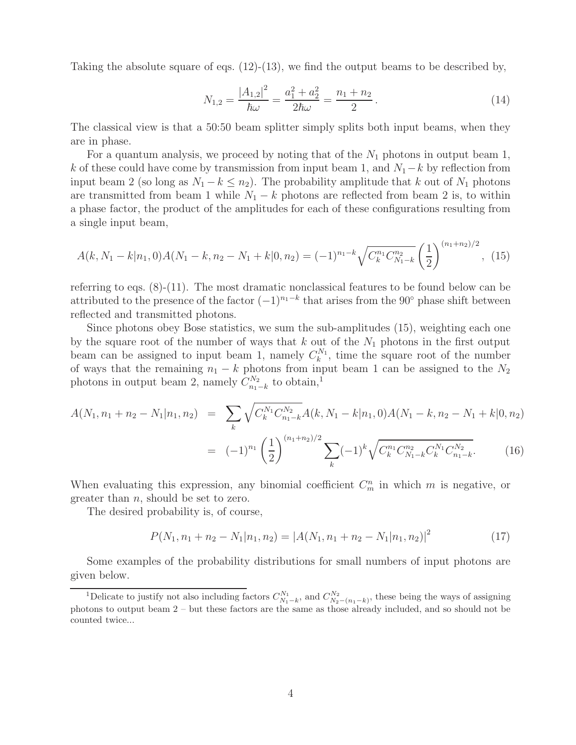Taking the absolute square of eqs.  $(12)-(13)$ , we find the output beams to be described by,

$$
N_{1,2} = \frac{|A_{1,2}|^2}{\hbar \omega} = \frac{a_1^2 + a_2^2}{2\hbar \omega} = \frac{n_1 + n_2}{2}.
$$
\n(14)

The classical view is that a 50:50 beam splitter simply splits both input beams, when they are in phase.

For a quantum analysis, we proceed by noting that of the  $N_1$  photons in output beam 1, k of these could have come by transmission from input beam 1, and  $N_1-k$  by reflection from input beam 2 (so long as  $N_1 - k \leq n_2$ ). The probability amplitude that k out of  $N_1$  photons are transmitted from beam 1 while  $N_1 - k$  photons are reflected from beam 2 is, to within a phase factor, the product of the amplitudes for each of these configurations resulting from a single input beam,

$$
A(k, N_1 - k | n_1, 0) A(N_1 - k, n_2 - N_1 + k | 0, n_2) = (-1)^{n_1 - k} \sqrt{C_k^{n_1} C_{N_1 - k}^{n_2}} \left(\frac{1}{2}\right)^{(n_1 + n_2)/2}, (15)
$$

referring to eqs.  $(8)-(11)$ . The most dramatic nonclassical features to be found below can be attributed to the presence of the factor  $(-1)^{n_1-k}$  that arises from the 90° phase shift between reflected and transmitted photons.

Since photons obey Bose statistics, we sum the sub-amplitudes (15), weighting each one by the square root of the number of ways that  $k$  out of the  $N_1$  photons in the first output beam can be assigned to input beam 1, namely  $C_k^{N_1}$ , time the square root of the number of ways that the remaining  $n_1 - k$  photons from input beam 1 can be assigned to the  $N_2$ photons in output beam 2, namely  $C_{n_1-k}^{N_2}$  to obtain,<sup>1</sup>

$$
A(N_1, n_1 + n_2 - N_1 | n_1, n_2) = \sum_{k} \sqrt{C_k^{N_1} C_{n_1 - k}^{N_2}} A(k, N_1 - k | n_1, 0) A(N_1 - k, n_2 - N_1 + k | 0, n_2)
$$
  

$$
= (-1)^{n_1} \left(\frac{1}{2}\right)^{(n_1 + n_2)/2} \sum_{k} (-1)^k \sqrt{C_k^{n_1} C_{N_1 - k}^{n_2} C_k^{N_1} C_{n_1 - k}^{N_2}}.
$$
 (16)

When evaluating this expression, any binomial coefficient  $C_m^n$  in which m is negative, or greater than n, should be set to zero.

The desired probability is, of course,

$$
P(N_1, n_1 + n_2 - N_1 | n_1, n_2) = |A(N_1, n_1 + n_2 - N_1 | n_1, n_2)|^2
$$
\n(17)

Some examples of the probability distributions for small numbers of input photons are given below.

<sup>&</sup>lt;sup>1</sup>Delicate to justify not also including factors  $C_{N_1-k}^{N_1}$ , and  $C_{N_2-(n_1-k)}^{N_2}$ , these being the ways of assigning photons to output beam 2 – but these factors are the same as those already included, and so should not be counted twice...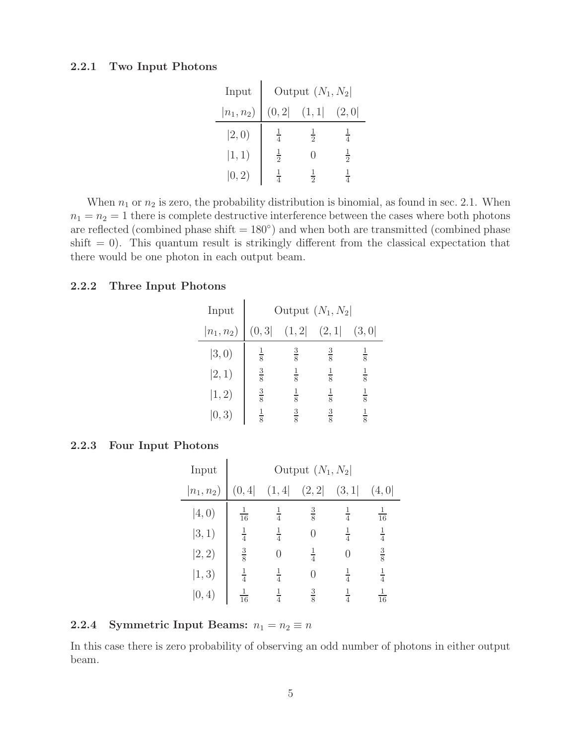#### **2.2.1 Two Input Photons**

| Input              | Output $(N_1, N_2)$ |               |                |  |  |  |
|--------------------|---------------------|---------------|----------------|--|--|--|
| $ n_1, n_2\rangle$ | (0, 2)              | (1, 1]        | (2,0]          |  |  |  |
| 2,0)               | $\frac{1}{4}$       | $\frac{1}{2}$ |                |  |  |  |
| $ 1, 1\rangle$     | $\frac{1}{2}$       |               | $\overline{2}$ |  |  |  |
| 0, 2)              |                     |               |                |  |  |  |

When  $n_1$  or  $n_2$  is zero, the probability distribution is binomial, as found in sec. 2.1. When  $n_1 = n_2 = 1$  there is complete destructive interference between the cases where both photons are reflected (combined phase shift  $= 180°$ ) and when both are transmitted (combined phase  $\text{shift} = 0$ ). This quantum result is strikingly different from the classical expectation that there would be one photon in each output beam.

#### **2.2.2 Three Input Photons**

| Input          | Output $(N_1, N_2)$ |                |               |               |  |  |  |  |
|----------------|---------------------|----------------|---------------|---------------|--|--|--|--|
| $ n_1, n_2)$   | (0, 3)              | (1, 2)         | (2,1]         | (3,0)         |  |  |  |  |
| 3,0)           | $\frac{1}{8}$       | $\frac{3}{8}$  | $\frac{3}{8}$ | $\frac{1}{8}$ |  |  |  |  |
| 2, 1)          | $\frac{3}{8}$       | $\overline{8}$ | $\frac{1}{8}$ | $\frac{1}{8}$ |  |  |  |  |
| $ 1, 2\rangle$ | $\frac{3}{8}$       | $\frac{1}{8}$  | $\frac{1}{8}$ | $\frac{1}{8}$ |  |  |  |  |
| 0,3)           |                     | $\frac{3}{8}$  | $\frac{3}{8}$ |               |  |  |  |  |

#### **2.2.3 Four Input Photons**

| Input          | Output $(N_1, N_2)$ |               |               |               |                |  |  |
|----------------|---------------------|---------------|---------------|---------------|----------------|--|--|
| $ n_1, n_2)$   | (0, 4]              | (1, 4)        | (2, 2)        | (3, 1)        | (4, 0)         |  |  |
| $ 4,0\rangle$  | $\frac{1}{16}$      | $\frac{1}{4}$ | $\frac{3}{8}$ | $\frac{1}{4}$ | $\frac{1}{16}$ |  |  |
| $ 3, 1\rangle$ | $\frac{1}{4}$       | $\frac{1}{4}$ | 0             | $\frac{1}{4}$ | $\frac{1}{4}$  |  |  |
| 2, 2)          | $\frac{3}{8}$       |               | $\frac{1}{4}$ | 0             | $\frac{3}{8}$  |  |  |
| $ 1, 3\rangle$ | $\frac{1}{4}$       | $\frac{1}{4}$ | 0             | $\frac{1}{4}$ | $\frac{1}{4}$  |  |  |
| 0, 4)          | 16                  |               | $\frac{3}{8}$ |               | 16             |  |  |

#### **2.2.4** Symmetric Input Beams:  $n_1 = n_2 \equiv n$

In this case there is zero probability of observing an odd number of photons in either output beam.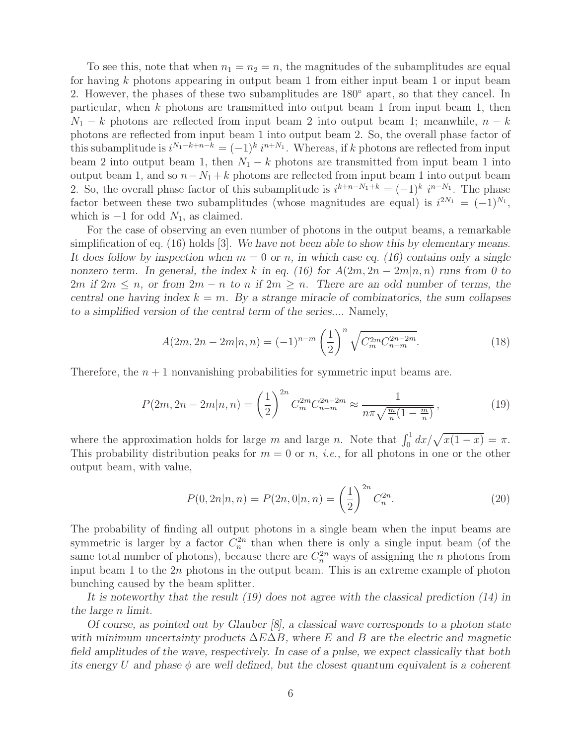To see this, note that when  $n_1 = n_2 = n$ , the magnitudes of the subamplitudes are equal for having k photons appearing in output beam 1 from either input beam 1 or input beam 2. However, the phases of these two subamplitudes are 180◦ apart, so that they cancel. In particular, when k photons are transmitted into output beam 1 from input beam 1, then  $N_1 - k$  photons are reflected from input beam 2 into output beam 1; meanwhile,  $n - k$ photons are reflected from input beam 1 into output beam 2. So, the overall phase factor of this subamplitude is  $i^{N_1-k+n-k} = (-1)^k i^{n+N_1}$ . Whereas, if k photons are reflected from input beam 2 into output beam 1, then  $N_1 - k$  photons are transmitted from input beam 1 into output beam 1, and so  $n-N_1+k$  photons are reflected from input beam 1 into output beam 2. So, the overall phase factor of this subamplitude is  $i^{k+n-N_1+k} = (-1)^k i^{n-N_1}$ . The phase factor between these two subamplitudes (whose magnitudes are equal) is  $i^{2N_1} = (-1)^{N_1}$ , which is  $-1$  for odd  $N_1$ , as claimed.

For the case of observing an even number of photons in the output beams, a remarkable simplification of eq. (16) holds [3]. *We have not been able to show this by elementary means. It does follow by inspection when* m = 0 *or* n*, in which case eq. (16) contains only a single nonzero term.* In general, the index k in eq. (16) for  $A(2m, 2n - 2m|n, n)$  runs from 0 to 2m if  $2m \leq n$ , or from  $2m - n$  to n if  $2m \geq n$ . There are an odd number of terms, the *central one having index*  $k = m$ . By a strange miracle of combinatorics, the sum collapses *to a simplified version of the central term of the series....* Namely,

$$
A(2m, 2n - 2m|n, n) = (-1)^{n-m} \left(\frac{1}{2}\right)^n \sqrt{C_m^{2m} C_{n-m}^{2n-2m}}.
$$
\n(18)

Therefore, the  $n + 1$  nonvanishing probabilities for symmetric input beams are.

$$
P(2m, 2n - 2m|n, n) = \left(\frac{1}{2}\right)^{2n} C_m^{2m} C_{n-m}^{2n-2m} \approx \frac{1}{n\pi\sqrt{\frac{m}{n}(1 - \frac{m}{n})}},\tag{19}
$$

where the approximation holds for large m and large n. Note that  $\int_0^1 dx/\sqrt{x(1-x)} = \pi$ . This probability distribution peaks for  $m = 0$  or n, *i.e.*, for all photons in one or the other output beam, with value,

$$
P(0, 2n|n, n) = P(2n, 0|n, n) = \left(\frac{1}{2}\right)^{2n} C_n^{2n}.
$$
\n(20)

The probability of finding all output photons in a single beam when the input beams are symmetric is larger by a factor  $C_n^{2n}$  than when there is only a single input beam (of the same total number of photons), because there are  $C_n^{2n}$  ways of assigning the *n* photons from input beam 1 to the 2n photons in the output beam. This is an extreme example of photon bunching caused by the beam splitter.

*It is noteworthy that the result (19) does not agree with the classical prediction (14) in the large* n *limit.*

*Of course, as pointed out by Glauber [8], a classical wave corresponds to a photon state with minimum uncertainty products* ΔEΔB*, where* E *and* B *are the electric and magnetic field amplitudes of the wave, respectively. In case of a pulse, we expect classically that both its energy* U *and phase* φ *are well defined, but the closest quantum equivalent is a coherent*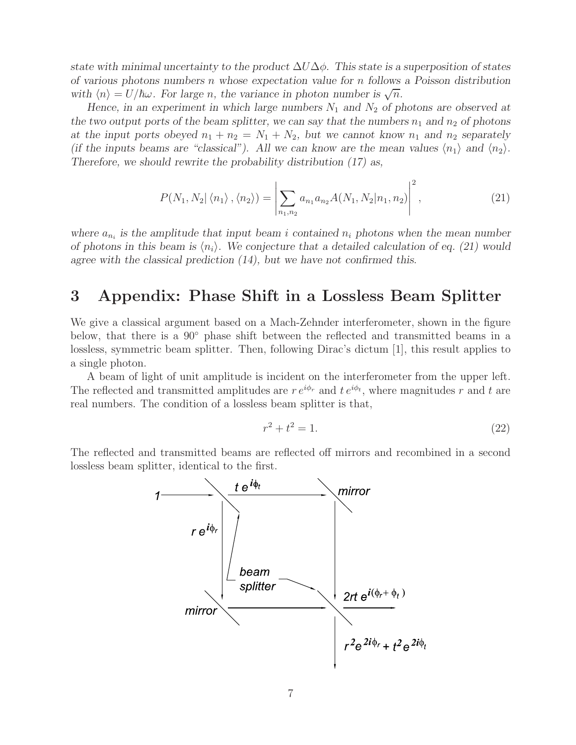*state with minimal uncertainty to the product* ΔUΔφ*. This state is a superposition of states of various photons numbers* n *whose expectation value for* n *follows a Poisson distribution* with  $\langle n \rangle = U/\hbar \omega$ . For large *n*, the variance in photon number is  $\sqrt{n}$ .

*Hence, in an experiment in which large numbers*  $N_1$  *and*  $N_2$  *of photons are observed at the two output ports of the beam splitter, we can say that the numbers*  $n_1$  and  $n_2$  of photons *at the input ports obeyed*  $n_1 + n_2 = N_1 + N_2$ , but we cannot know  $n_1$  and  $n_2$  separately *(if the inputs beams are "classical"). All we can know are the mean values*  $\langle n_1 \rangle$  and  $\langle n_2 \rangle$ . *Therefore, we should rewrite the probability distribution (17) as,*

$$
P(N_1, N_2 | \langle n_1 \rangle, \langle n_2 \rangle) = \left| \sum_{n_1, n_2} a_{n_1} a_{n_2} A(N_1, N_2 | n_1, n_2) \right|^2, \tag{21}
$$

where  $a_{n_i}$  *is the amplitude that input beam i contained*  $n_i$  *photons when the mean number of photons in this beam is*  $\langle n_i \rangle$ . We conjecture that a detailed calculation of eq. (21) would *agree with the classical prediction (14), but we have not confirmed this.*

### **3 Appendix: Phase Shift in a Lossless Beam Splitter**

We give a classical argument based on a Mach-Zehnder interferometer, shown in the figure below, that there is a 90◦ phase shift between the reflected and transmitted beams in a lossless, symmetric beam splitter. Then, following Dirac's dictum [1], this result applies to a single photon.

A beam of light of unit amplitude is incident on the interferometer from the upper left. The reflected and transmitted amplitudes are  $r e^{i\phi_r}$  and  $t e^{i\phi_t}$ , where magnitudes r and t are real numbers. The condition of a lossless beam splitter is that,

$$
r^2 + t^2 = 1.\t(22)
$$

The reflected and transmitted beams are reflected off mirrors and recombined in a second lossless beam splitter, identical to the first.

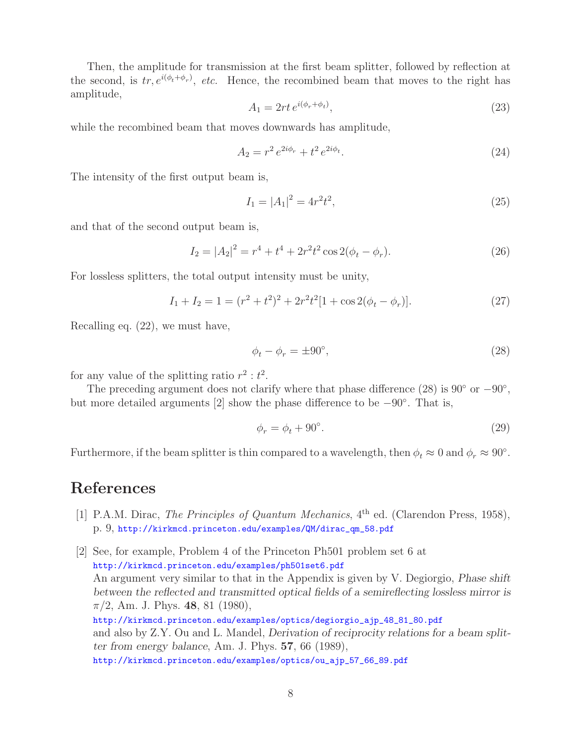Then, the amplitude for transmission at the first beam splitter, followed by reflection at the second, is  $tr, e^{i(\phi_t + \phi_r)}$ , *etc.* Hence, the recombined beam that moves to the right has amplitude,

$$
A_1 = 2rt e^{i(\phi_r + \phi_t)},\tag{23}
$$

while the recombined beam that moves downwards has amplitude,

$$
A_2 = r^2 e^{2i\phi_r} + t^2 e^{2i\phi_t}.
$$
 (24)

The intensity of the first output beam is,

$$
I_1 = |A_1|^2 = 4r^2t^2,\tag{25}
$$

and that of the second output beam is,

$$
I_2 = |A_2|^2 = r^4 + t^4 + 2r^2t^2\cos 2(\phi_t - \phi_r).
$$
 (26)

For lossless splitters, the total output intensity must be unity,

$$
I_1 + I_2 = 1 = (r^2 + t^2)^2 + 2r^2t^2[1 + \cos 2(\phi_t - \phi_r)].
$$
\n(27)

Recalling eq. (22), we must have,

$$
\phi_t - \phi_r = \pm 90^\circ, \tag{28}
$$

for any value of the splitting ratio  $r^2 : t^2$ .

The preceding argument does not clarify where that phase difference (28) is 90 $\degree$  or  $-90\degree$ , but more detailed arguments [2] show the phase difference to be −90◦. That is,

$$
\phi_r = \phi_t + 90^\circ. \tag{29}
$$

Furthermore, if the beam splitter is thin compared to a wavelength, then  $\phi_t \approx 0$  and  $\phi_r \approx 90^\circ$ .

### **References**

- [1] P.A.M. Dirac, *The Principles of Quantum Mechanics*, 4<sup>th</sup> ed. (Clarendon Press, 1958), p. 9, http://kirkmcd.princeton.edu/examples/QM/dirac\_qm\_58.pdf
- [2] See, for example, Problem 4 of the Princeton Ph501 problem set 6 at http://kirkmcd.princeton.edu/examples/ph501set6.pdf An argument very similar to that in the Appendix is given by V. Degiorgio, *Phase shift between the reflected and transmitted optical fields of a semireflecting lossless mirror is* π/2, Am. J. Phys. **48**, 81 (1980), http://kirkmcd.princeton.edu/examples/optics/degiorgio\_ajp\_48\_81\_80.pdf and also by Z.Y. Ou and L. Mandel, *Derivation of reciprocity relations for a beam splitter from energy balance*, Am. J. Phys. **57**, 66 (1989), http://kirkmcd.princeton.edu/examples/optics/ou\_ajp\_57\_66\_89.pdf